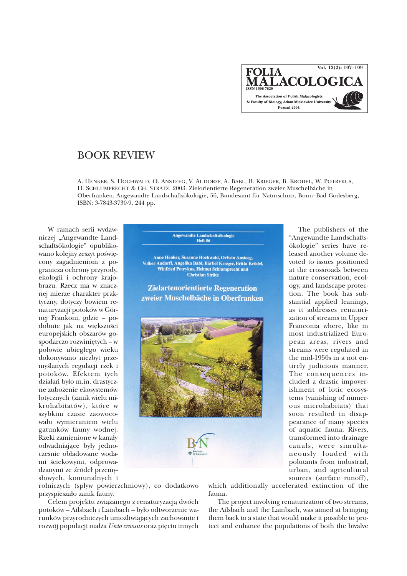**FOLIA**<br>MALACOLOGICA The Association of Polish Malacologists & Faculty of Biology, Adam Mickiewicz University Poznań 2004

## BOOK REVIEW

A. HENKER, S. HOCHWALD, O. ANSTEEG, V. AUDORFF, A. BABL, B. KRIEGER, B. KRÖDEL, W. POTRYKUS, H. SCHLUMPRECHT & CH. STRÄTZ. 2003. Zielorientierte Regeneration zweier Muschelbäche in Oberfranken. Angewandte Landschaftsökologie, 56, Bundesamt für Naturschutz, Bonn–Bad Godesberg, ISBN: 3-7843-3730-9, 244 pp.

W ramach serii wydawniczej "Angewandte Landschaftsökologie" opublikowano kolejny zeszyt poświęcony zagadnieniom z pogranicza ochrony przyrody, ekologii i ochrony krajobrazu. Rzecz ma w znacznej mierze charakter praktyczny, dotyczy bowiem renaturyzacji potoków w Górnej Frankoni, gdzie – podobnie jak na większości europejskich obszarów gospodarczo rozwiniêtych – w połowie ubiegłego wieku dokonywano niezbyt przemyślanych regulacji rzek i potoków. Efektem tych działań było m.in. drastyczne zubo¿enie ekosystemów lotycznych (zanik wielu mikrohabitatów), które w szybkim czasie zaowocowało wymieraniem wielu gatunków fauny wodnej. Rzeki zamienione w kanały odwadniające były jednocześnie obładowane wodami ściekowymi, odprowadzanymi ze źródeł przemysłowych, komunalnych i



Anne Henker, Susanne Hochwald, Ortwin Ansteeg,<br>Volker Audorff, Angelika Babl, Bärbel Krieger, Britta Krödel, Winfried Potrykus, Helmut Schlumprecht und **Christian Strätz** 

**Zielartenorientierte Regeneration** zweier Muschelbäche in Oberfranken



The publishers of the "Angewandte Landschaftsökologie" series have released another volume devoted to issues positioned at the crossroads between nature conservation, ecology, and landscape protection. The book has substantial applied leanings, as it addresses renaturization of streams in Upper Franconia where, like in most industrialized European areas, rivers and streams were regulated in the mid-1950s in a not entirely judicious manner. The consequences included a drastic impoverishment of lotic ecosystems (vanishing of numerous microhabitats) that soon resulted in disappearance of many species of aquatic fauna. Rivers, transformed into drainage canals, were simultaneously loaded with polutants from industrial, urban, and agricultural sources (surface runoff),

rolniczych (spływ powierzchniowy), co dodatkowo przyspieszało zanik fauny.

Celem projektu związanego z renaturyzacją dwóch potoków – Ailsbach i Lainbach – było odtworzenie warunków przyrodniczych umożliwiających zachowanie i rozwój populacji małża Unio crassus oraz pięciu innych which additionally accelerated extinction of the fauna.

The project involving renaturization of two streams, the Ailsbach and the Lainbach, was aimed at bringing them back to a state that would make it possible to protect and enhance the populations of both the bivalve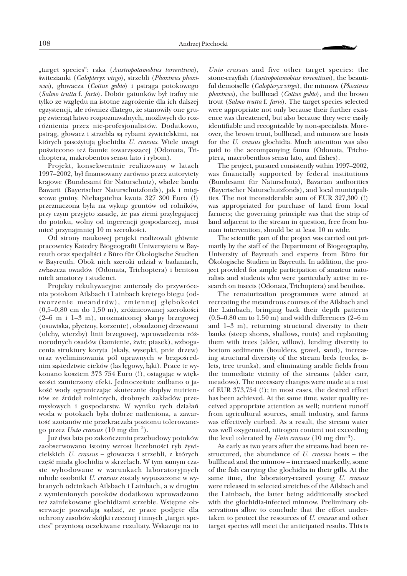"target species": raka (*Austropotamobius torrentium*), świtezianki (Calopteryx virgo), strzebli (Phoxinus phoxi $nus$ ), głowacza (*Cottus gobio*) i pstrąga potokowego (*Salmo trutta* f. *fario*). Dobór gatunków by³ trafny nie tylko ze względu na istotne zagrożenie dla ich dalszej egzystencji, ale również dlatego, że stanowiły one grupę zwierząt łatwo rozpoznawalnych, możliwych do rozró¿nienia przez nie-profesjonalistów. Dodatkowo, pstrąg, głowacz i strzebla są rybami żywicielskimi, na których pasożytują glochidia *U. crassus*. Wiele uwagi poświęcono też faunie towarzyszącej (Odonata, Trichoptera, makrobentos sensu lato i rybom).

Projekt, konsekwentnie realizowany w latach 1997–2002, by³ finansowany zarówno przez autorytety krajowe (Bundesamt für Naturschutz), władze landu Bawarii (Bayerischer Naturschutzfonds), jak i miejscowe gminy. Niebagatelna kwota 327 300 Euro (!) przeznaczona była na wykup gruntów od rolników, przy czym przyjęto zasadę, że pas ziemi przylegającej do potoku, wolny od ingerencji gospodarczej, musi mieć przynajmniej 10 m szerokości.

Od strony naukowej projekt realizowali głównie pracownicy Katedry Biogeografii Uniwersytetu w Bayreuth oraz specjaliści z Büro für Ökologische Studien w Bayreuth. Obok nich szeroki udział w badaniach, zwłaszcza owadów (Odonata, Trichoptera) i bentosu mieli amatorzy i studenci.

Projekty rekultywacyjne zmierzały do przywrócenia potokom Ailsbach i Lainbach krętego biegu (odtworzenie meandrów), zmiennej głębokości  $(0,5-0,80 \text{ cm do } 1,50 \text{ m})$ , zróżnicowanej szerokości (2–6 m i 1–3 m), urozmaiconej skarpy brzegowej (osuwiska, płycizny, korzenie), obsadzonej drzewami (olchy, wierzby) linii brzegowej, wprowadzenia ró¿ norodnych osadów (kamienie, ¿wir, piasek), wzbogacenia struktury koryta (skały, wysepki, pnie drzew) oraz wyeliminowania pól uprawnych w bezpośrednim sąsiedztwie cieków (las łęgowy, łąki). Prace te wykonano kosztem 373 754 Euro (!), osiągając w większości zamierzony efekt. Jednocześnie zadbano o jakość wody ograniczając skutecznie dopływ nutrientów ze źródeł rolniczych, drobnych zakładów przemysłowych i gospodarstw. W wyniku tych działań woda w potokach była dobrze natleniona, a zawartość azotanów nie przekraczała poziomu tolerowanego przez *Unio crassus* (10 mg dm–3).

Ju¿ dwa lata po zakoñczeniu przebudowy potoków zaobserwowano istotny wzrost liczebności ryb żywicielskich *U. crassus* – głowacza i strzebli, z których część miała glochidia w skrzelach. W tym samym czasie wyhodowane w warunkach laboratoryjnych młode osobniki *U. crassus* zostały wypuszczone w wybranych odcinkach Ailsbach i Lainbach, a w drugim z wymienionych potoków dodatkowo wprowadzono też zainfekowane glochidiami strzeble. Wstępne obserwacje pozwalają sądzić, że prace podjęte dla ochrony zasobów skójki rzecznej i innych "target species" przyniosą oczekiwane rezultaty. Wskazuje na to

*Unio crassus* and five other target species: the stone-crayfish (*Austropotamobius torrentium*), the beautiful demoiselle (*Calopteryx virgo*), the minnow (*Phoxinus phoxinus*), the bullhead (*Cottus gobio*), and the brown trout (*Salmo trutta* f. *fario*). The target species selected were appropriate not only because their further existence was threatened, but also because they were easily identifiable and recognizable by non-specialists. Moreover, the brown trout, bullhead, and minnow are hosts for the *U. crassus* glochidia. Much attention was also paid to the accompanying fauna (Odonata, Trichoptera, macrobenthos sensu lato, and fishes).

The project, pursued consistently within 1997–2002, was financially supported by federal institutions (Bundesamt für Naturschutz), Bavarian authorities (Bayerischer Naturschutzfonds), and local municipalities. The not inconsiderable sum of EUR 327,300 (!) was appropriated for purchase of land from local farmers; the governing principle was that the strip of land adjacent to the stream in question, free from human intervention, should be at least 10 m wide.

The scientific part of the project was carried out primarily by the staff of the Department of Biogeography, University of Bayreuth and experts from Büro für Ökologische Studien in Bayreuth. In addition, the project provided for ample participation of amateur naturalists and students who were particularly active in research on insects (Odonata, Trichoptera) and benthos.

The renaturization programmes were aimed at recreating the meandrous courses of the Ailsbach and the Lainbach, bringing back their depth patterns  $(0.5-0.80 \text{ cm to } 1.50 \text{ m})$  and width differences  $(2-6 \text{ m})$ and 1–3 m), returning structural diversity to their banks (steep shores, shallows, roots) and replanting them with trees (alder, willow), lending diversity to bottom sediments (boulders, gravel, sand), increasing structural diversity of the stream beds (rocks, islets, tree trunks), and eliminating arable fields from the immediate vicinity of the streams (alder carr, meadows). The necessary changes were made at a cost of EUR 373,754 (!); in most cases, the desired effect has been achieved. At the same time, water quality received appropriate attention as well; nutrient runoff from agricultural sources, small industry, and farms was effectively curbed. As a result, the stream water was well oxygenated, nitrogen content not exceeding the level tolerated by *Unio crassus* (10 mg dm–3).

As early as two years after the streams had been restructured, the abundance of *U. crassus* hosts – the bullhead and the minnow – increased markedly, some of the fish carrying the glochidia in their gills. At the same time, the laboratory-reared young *U. crassus* were released in selected stretches of the Ailsbach and the Lainbach, the latter being additionally stocked with the glochidia-infected minnow. Preliminary observations allow to conclude that the effort undertaken to protect the resources of *U. crassus* and other target species will meet the anticipated results. This is